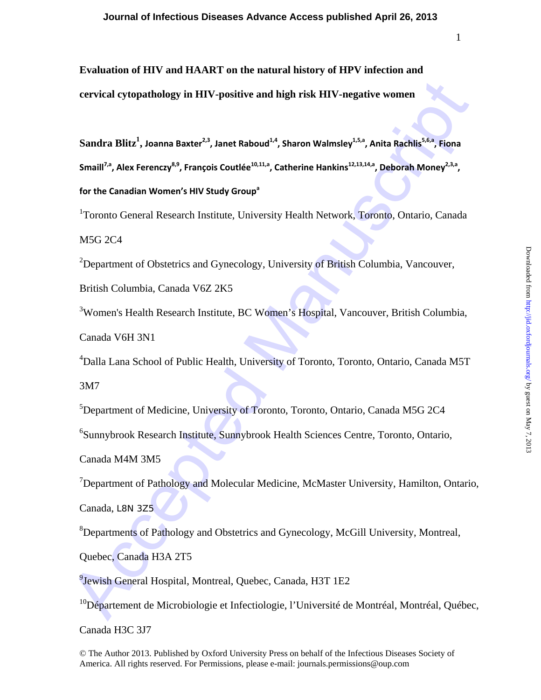1

**Evaluation of HIV and HAART on the natural history of HPV infection and** 

**cervical cytopathology in HIV-positive and high risk HIV-negative women** 

ecrvical cytopathology in IIIV-positive and high risk IIIV-negative women<br>
Sandra Blitz<sup>1</sup>, Joanna Baster<sup>23</sup>, Janet Raboud<sup>44</sup>, Sharon Walmsley<sup>45, A</sup>Anita Rachlis<sup>56,</sup> Fiona<br>
Small<sup>12</sup>, Alex Ference/<sup>85</sup>, François Couttl **Sandra Blitz1 , Joanna Baxter2,3, Janet Raboud1,4, Sharon Walmsley1,5,a, Anita Rachlis5,6,a, Fiona Smaill7,a, Alex Ferenczy8,9, François Coutlée10,11,a, Catherine Hankins12,13,14,a, Deborah Money2,3,a, for the Canadian Women's HIV Study Groupa**

<sup>1</sup>Toronto General Research Institute, University Health Network, Toronto, Ontario, Canada

M5G 2C4

<sup>2</sup>Department of Obstetrics and Gynecology, University of British Columbia, Vancouver,

British Columbia, Canada V6Z 2K5

<sup>3</sup>Women's Health Research Institute, BC Women's Hospital, Vancouver, British Columbia,

Canada V6H 3N1

4 Dalla Lana School of Public Health, University of Toronto, Toronto, Ontario, Canada M5T

3M7

5 Department of Medicine, University of Toronto, Toronto, Ontario, Canada M5G 2C4

6 Sunnybrook Research Institute, Sunnybrook Health Sciences Centre, Toronto, Ontario,

Canada M4M 3M5

<sup>7</sup>Department of Pathology and Molecular Medicine, McMaster University, Hamilton, Ontario, Canada, L8N 3Z5

<sup>8</sup>Departments of Pathology and Obstetrics and Gynecology, McGill University, Montreal,

Quebec, Canada H3A 2T5

<sup>9</sup>Jewish General Hospital, Montreal, Quebec, Canada, H3T 1E2

 $10D$ épartement de Microbiologie et Infectiologie, l'Université de Montréal, Montréal, Québec,

Canada H3C 3J7

© The Author 2013. Published by Oxford University Press on behalf of the Infectious Diseases Society of America. All rights reserved. For Permissions, please e-mail: journals.permissions@oup.com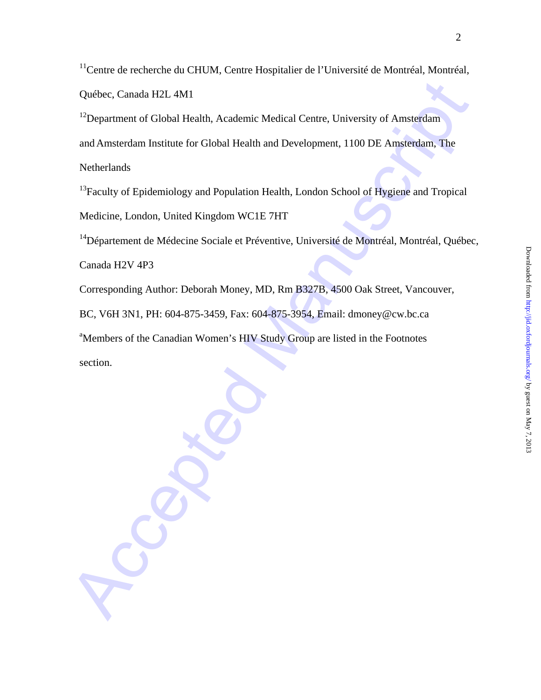<sup>11</sup>Centre de recherche du CHUM, Centre Hospitalier de l'Université de Montréal, Montréal, Québec, Canada H2L 4M1

<sup>12</sup>Department of Global Health, Academic Medical Centre, University of Amsterdam and Amsterdam Institute for Global Health and Development, 1100 DE Amsterdam, The **Netherlands** 

<sup>13</sup>Faculty of Epidemiology and Population Health, London School of Hygiene and Tropical Medicine, London, United Kingdom WC1E 7HT

<sup>14</sup>Département de Médecine Sociale et Préventive, Université de Montréal, Montréal, Québec,

Canada H2V 4P3

Corresponding Author: Deborah Money, MD, Rm B327B, 4500 Oak Street, Vancouver,

BC, V6H 3N1, PH: 604-875-3459, Fax: 604-875-3954, Email: dmoney@cw.bc.ca

<sup>a</sup>Members of the Canadian Women's HIV Study Group are listed in the Footnotes section.

Québec, Canada H2I-4M1<br>
<sup>12</sup> Department of Global Health, Academic Medical Centre, University of Amsterdam<br>
and Amsterdam Institute for Global Health and Development, 1100 DE Amsferdam, The<br>
Netherlands<br>
<sup>13</sup> Faculty of Ep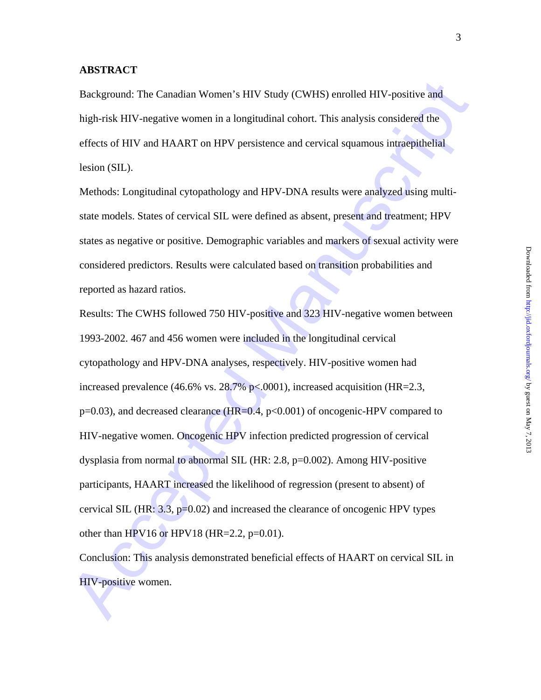#### **ABSTRACT**

Background: The Canadian Women's HIV Study (CWHS) enrolled HIV-positive and high-risk HIV-negative women in a longitudinal cohort. This analysis considered the effects of HIV and HAART on HPV persistence and cervical squamous intraepithelial lesion (SIL).

Methods: Longitudinal cytopathology and HPV-DNA results were analyzed using multistate models. States of cervical SIL were defined as absent, present and treatment; HPV states as negative or positive. Demographic variables and markers of sexual activity were considered predictors. Results were calculated based on transition probabilities and reported as hazard ratios.

Background: The Canadian Women's HIV Study (CWHS) enrolled HIV-positive and<br>high-risk HIV-aegative women in a longitudinal cohort. This analysis considered the<br>effects of HIV and HAAKT on HPV persistence and cervical squa Results: The CWHS followed 750 HIV-positive and 323 HIV-negative women between 1993-2002. 467 and 456 women were included in the longitudinal cervical cytopathology and HPV-DNA analyses, respectively. HIV-positive women had increased prevalence (46.6% vs.  $28.7\%$  p<.0001), increased acquisition (HR=2.3, p=0.03), and decreased clearance (HR=0.4, p<0.001) of oncogenic-HPV compared to HIV-negative women. Oncogenic HPV infection predicted progression of cervical dysplasia from normal to abnormal SIL (HR: 2.8, p=0.002). Among HIV-positive participants, HAART increased the likelihood of regression (present to absent) of cervical SIL (HR: 3.3, p=0.02) and increased the clearance of oncogenic HPV types other than HPV16 or HPV18 (HR= $2.2$ , p= $0.01$ ).

Conclusion: This analysis demonstrated beneficial effects of HAART on cervical SIL in HIV-positive women.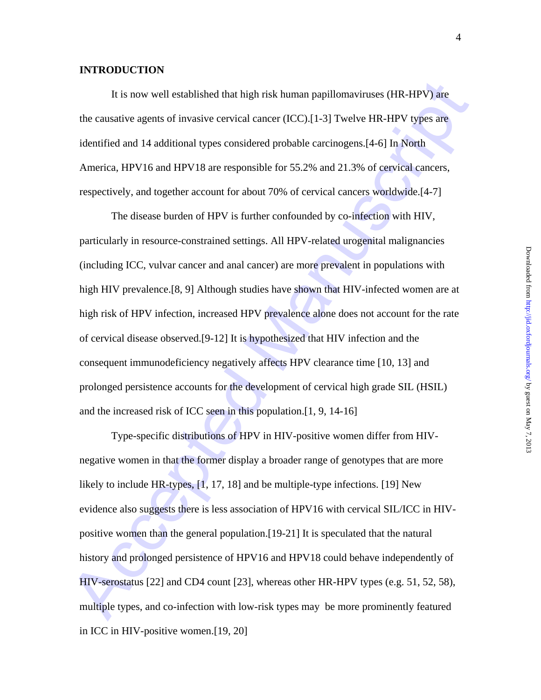### **INTRODUCTION**

It is now well established that high risk human papillomaviruses (HR-HPV) are the causative agents of invasive cervical cancer (ICC).[1-3] Twelve HR-HPV types are identified and 14 additional types considered probable carcinogens.[4-6] In North America, HPV16 and HPV18 are responsible for 55.2% and 21.3% of cervical cancers, respectively, and together account for about 70% of cervical cancers worldwide.[4-7]

It is now well established that high risk human papillomavineses (HR-HPV) ane<br>the causative agents of invasive cervical cancer (ICC):[1-3] Twelve IIR-HPV types are<br>identified and 14 additional types considered probable ca The disease burden of HPV is further confounded by co-infection with HIV, particularly in resource-constrained settings. All HPV-related urogenital malignancies (including ICC, vulvar cancer and anal cancer) are more prevalent in populations with high HIV prevalence.[8, 9] Although studies have shown that HIV-infected women are at high risk of HPV infection, increased HPV prevalence alone does not account for the rate of cervical disease observed.[9-12] It is hypothesized that HIV infection and the consequent immunodeficiency negatively affects HPV clearance time [10, 13] and prolonged persistence accounts for the development of cervical high grade SIL (HSIL) and the increased risk of ICC seen in this population.[1, 9, 14-16]

Type-specific distributions of HPV in HIV-positive women differ from HIVnegative women in that the former display a broader range of genotypes that are more likely to include HR-types, [1, 17, 18] and be multiple-type infections. [19] New evidence also suggests there is less association of HPV16 with cervical SIL/ICC in HIVpositive women than the general population.[19-21] It is speculated that the natural history and prolonged persistence of HPV16 and HPV18 could behave independently of HIV-serostatus [22] and CD4 count [23], whereas other HR-HPV types (e.g. 51, 52, 58), multiple types, and co-infection with low-risk types may be more prominently featured in ICC in HIV-positive women.[19, 20]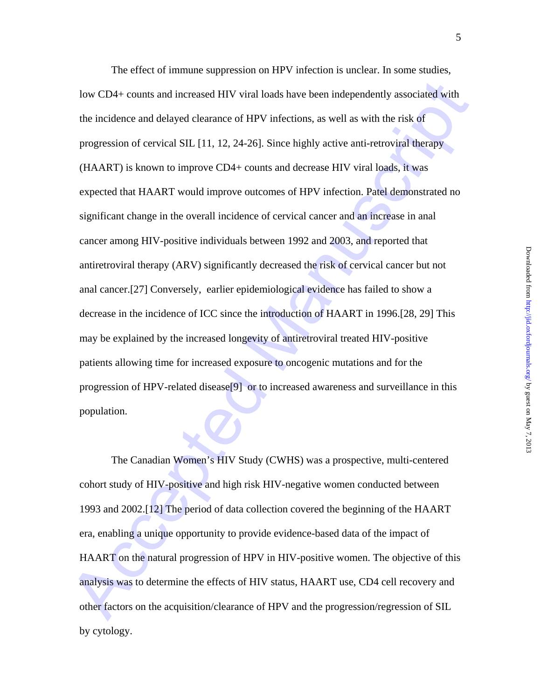low CD4+ counts and increased HIV viral loads have been independently associated with<br>the incidence and delayed clearance of HIPV infections, as well as with the risk of<br>progression of cervical SIL.[11, 12, 24-26]. Since h The effect of immune suppression on HPV infection is unclear. In some studies, low CD4+ counts and increased HIV viral loads have been independently associated with the incidence and delayed clearance of HPV infections, as well as with the risk of progression of cervical SIL [11, 12, 24-26]. Since highly active anti-retroviral therapy (HAART) is known to improve CD4+ counts and decrease HIV viral loads, it was expected that HAART would improve outcomes of HPV infection. Patel demonstrated no significant change in the overall incidence of cervical cancer and an increase in anal cancer among HIV-positive individuals between 1992 and 2003, and reported that antiretroviral therapy (ARV) significantly decreased the risk of cervical cancer but not anal cancer.[27] Conversely, earlier epidemiological evidence has failed to show a decrease in the incidence of ICC since the introduction of HAART in 1996.[28, 29] This may be explained by the increased longevity of antiretroviral treated HIV-positive patients allowing time for increased exposure to oncogenic mutations and for the progression of HPV-related disease[9] or to increased awareness and surveillance in this population.

The Canadian Women's HIV Study (CWHS) was a prospective, multi-centered cohort study of HIV-positive and high risk HIV-negative women conducted between 1993 and 2002.[12] The period of data collection covered the beginning of the HAART era, enabling a unique opportunity to provide evidence-based data of the impact of HAART on the natural progression of HPV in HIV-positive women. The objective of this analysis was to determine the effects of HIV status, HAART use, CD4 cell recovery and other factors on the acquisition/clearance of HPV and the progression/regression of SIL by cytology.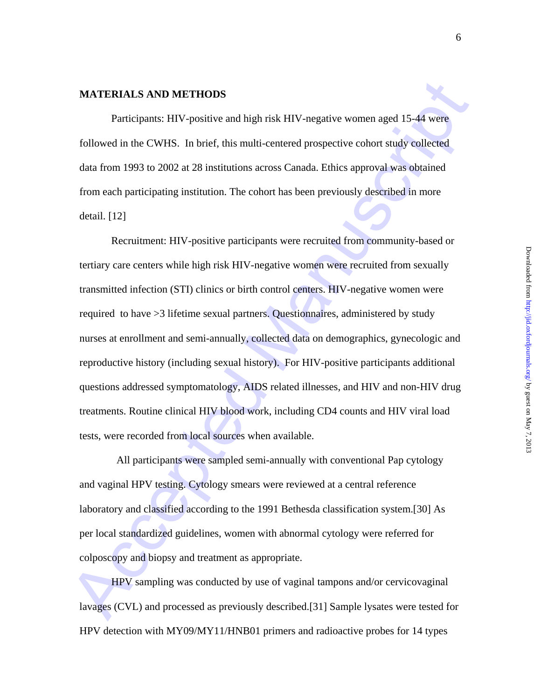#### **MATERIALS AND METHODS**

 Participants: HIV-positive and high risk HIV-negative women aged 15-44 were followed in the CWHS. In brief, this multi-centered prospective cohort study collected data from 1993 to 2002 at 28 institutions across Canada. Ethics approval was obtained from each participating institution. The cohort has been previously described in more detail. [12]

**MATERIALS AND METHODS**<br> **Participants: IIIV-positive and high risk IIIV-negative women aged 15-44 were**<br> **Followed in the CWHS.** In brief, this multi-centered prospective cobort study collected<br>
dula from 1993 to 2002 at Recruitment: HIV-positive participants were recruited from community-based or tertiary care centers while high risk HIV-negative women were recruited from sexually transmitted infection (STI) clinics or birth control centers. HIV-negative women were required to have >3 lifetime sexual partners. Questionnaires, administered by study nurses at enrollment and semi-annually, collected data on demographics, gynecologic and reproductive history (including sexual history). For HIV-positive participants additional questions addressed symptomatology, AIDS related illnesses, and HIV and non-HIV drug treatments. Routine clinical HIV blood work, including CD4 counts and HIV viral load tests, were recorded from local sources when available.

 All participants were sampled semi-annually with conventional Pap cytology and vaginal HPV testing. Cytology smears were reviewed at a central reference laboratory and classified according to the 1991 Bethesda classification system.[30] As per local standardized guidelines, women with abnormal cytology were referred for colposcopy and biopsy and treatment as appropriate.

 HPV sampling was conducted by use of vaginal tampons and/or cervicovaginal lavages (CVL) and processed as previously described.[31] Sample lysates were tested for HPV detection with MY09/MY11/HNB01 primers and radioactive probes for 14 types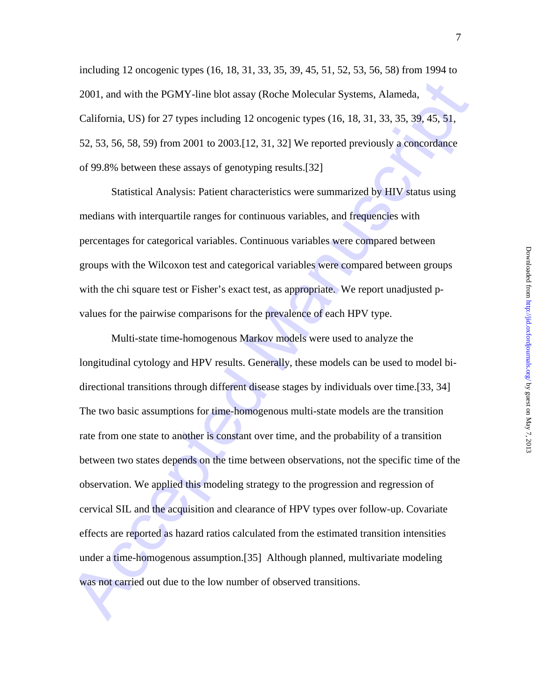including 12 oncogenic types (16, 18, 31, 33, 35, 39, 45, 51, 52, 53, 56, 58) from 1994 to 2001, and with the PGMY-line blot assay (Roche Molecular Systems, Alameda, California, US) for 27 types including 12 oncogenic types (16, 18, 31, 33, 35, 39, 45, 51, 52, 53, 56, 58, 59) from 2001 to 2003.[12, 31, 32] We reported previously a concordance of 99.8% between these assays of genotyping results.[32]

Statistical Analysis: Patient characteristics were summarized by HIV status using medians with interquartile ranges for continuous variables, and frequencies with percentages for categorical variables. Continuous variables were compared between groups with the Wilcoxon test and categorical variables were compared between groups with the chi square test or Fisher's exact test, as appropriate. We report unadjusted pvalues for the pairwise comparisons for the prevalence of each HPV type.

2001, and with the PGMY-line blot assay (Roche Molecular Systems, Alameda,<br>California, US) for 27 types including 12 oncogenic types (16, 18, 31, 33, 35, 39, 45, 51,<br>52, 53, 56, 58, 59) from 2001 to 2003, 112, 31, 321 We Multi-state time-homogenous Markov models were used to analyze the longitudinal cytology and HPV results. Generally, these models can be used to model bidirectional transitions through different disease stages by individuals over time.[33, 34] The two basic assumptions for time-homogenous multi-state models are the transition rate from one state to another is constant over time, and the probability of a transition between two states depends on the time between observations, not the specific time of the observation. We applied this modeling strategy to the progression and regression of cervical SIL and the acquisition and clearance of HPV types over follow-up. Covariate effects are reported as hazard ratios calculated from the estimated transition intensities under a time-homogenous assumption.[35] Although planned, multivariate modeling was not carried out due to the low number of observed transitions.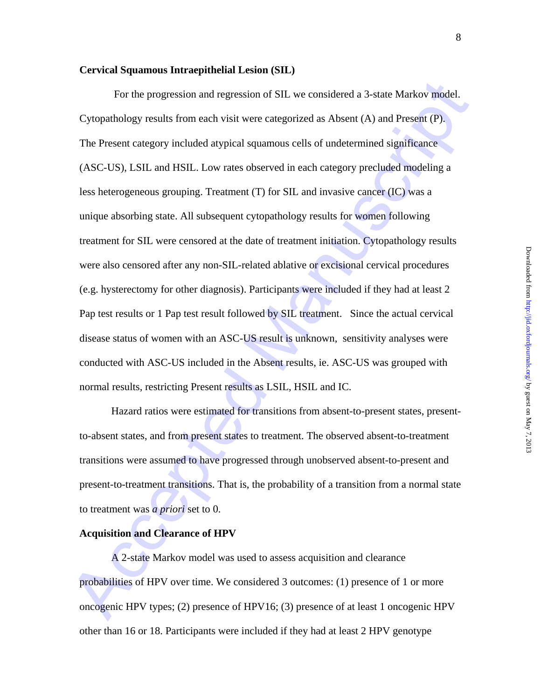#### **Cervical Squamous Intraepithelial Lesion (SIL)**

For the progression and regression of SH. we considered a 3-state Markov model.<br>
Cytopathology results from each visit were categorized as Absent (A) and Present (F)<br>
The Present category included at<br>pylical squarions cel For the progression and regression of SIL we considered a 3-state Markov model. Cytopathology results from each visit were categorized as Absent (A) and Present (P). The Present category included atypical squamous cells of undetermined significance (ASC-US), LSIL and HSIL. Low rates observed in each category precluded modeling a less heterogeneous grouping. Treatment (T) for SIL and invasive cancer (IC) was a unique absorbing state. All subsequent cytopathology results for women following treatment for SIL were censored at the date of treatment initiation. Cytopathology results were also censored after any non-SIL-related ablative or excisional cervical procedures (e.g. hysterectomy for other diagnosis). Participants were included if they had at least 2 Pap test results or 1 Pap test result followed by SIL treatment. Since the actual cervical disease status of women with an ASC-US result is unknown, sensitivity analyses were conducted with ASC-US included in the Absent results, ie. ASC-US was grouped with normal results, restricting Present results as LSIL, HSIL and IC.

Hazard ratios were estimated for transitions from absent-to-present states, presentto-absent states, and from present states to treatment. The observed absent-to-treatment transitions were assumed to have progressed through unobserved absent-to-present and present-to-treatment transitions. That is, the probability of a transition from a normal state to treatment was *a priori* set to 0.

#### **Acquisition and Clearance of HPV**

A 2-state Markov model was used to assess acquisition and clearance probabilities of HPV over time. We considered 3 outcomes: (1) presence of 1 or more oncogenic HPV types; (2) presence of HPV16; (3) presence of at least 1 oncogenic HPV other than 16 or 18. Participants were included if they had at least 2 HPV genotype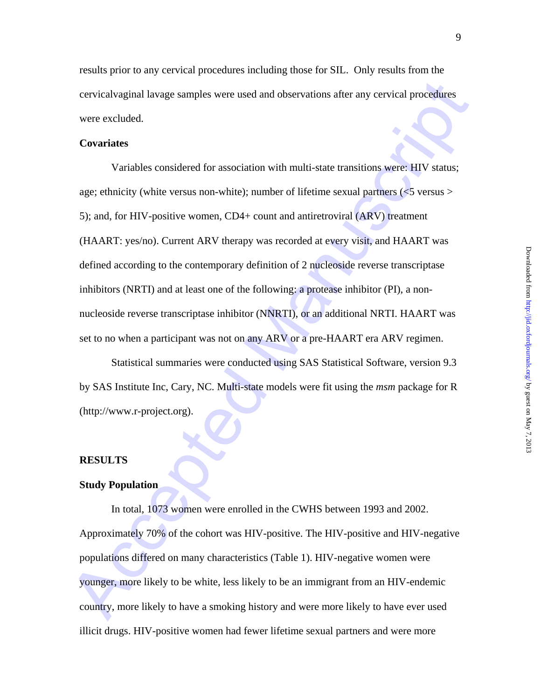results prior to any cervical procedures including those for SIL. Only results from the cervicalvaginal lavage samples were used and observations after any cervical procedures

## **Covariates**

were excluded.

cervical vaginal lavage samples were used and observations after any cervical procedures<br>vere excluded.<br> **Covariates**<br>
Variables considered for association with multi-state transitions were: HIV status;<br>
age; ethnicity (w Variables considered for association with multi-state transitions were: HIV status; age; ethnicity (white versus non-white); number of lifetime sexual partners (<5 versus > 5); and, for HIV-positive women, CD4+ count and antiretroviral (ARV) treatment (HAART: yes/no). Current ARV therapy was recorded at every visit, and HAART was defined according to the contemporary definition of 2 nucleoside reverse transcriptase inhibitors (NRTI) and at least one of the following: a protease inhibitor (PI), a nonnucleoside reverse transcriptase inhibitor (NNRTI), or an additional NRTI. HAART was set to no when a participant was not on any ARV or a pre-HAART era ARV regimen.

Statistical summaries were conducted using SAS Statistical Software, version 9.3 by SAS Institute Inc, Cary, NC. Multi-state models were fit using the *msm* package for R (http://www.r-project.org).

#### **RESULTS**

#### **Study Population**

In total, 1073 women were enrolled in the CWHS between 1993 and 2002. Approximately 70% of the cohort was HIV-positive. The HIV-positive and HIV-negative populations differed on many characteristics (Table 1). HIV-negative women were younger, more likely to be white, less likely to be an immigrant from an HIV-endemic country, more likely to have a smoking history and were more likely to have ever used illicit drugs. HIV-positive women had fewer lifetime sexual partners and were more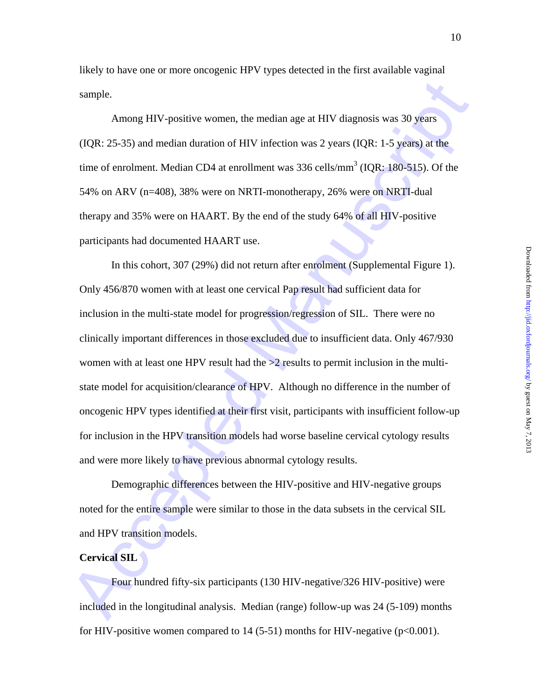likely to have one or more oncogenic HPV types detected in the first available vaginal sample.

Among HIV-positive women, the median age at HIV diagnosis was 30 years (IQR: 25-35) and median duration of HIV infection was 2 years (IQR: 1-5 years) at the time of enrolment. Median CD4 at enrollment was  $336$  cells/mm<sup>3</sup> (IQR: 180-515). Of the 54% on ARV (n=408), 38% were on NRTI-monotherapy, 26% were on NRTI-dual therapy and 35% were on HAART. By the end of the study 64% of all HIV-positive participants had documented HAART use.

sumple.<br>
Among HIV-positive women, the median age at HIV diagnosis was 30 years<br>
(IQR: 25-35) and median duration of HIV infection was 2 years (IQR: 1-5 years) at the<br>
time of enrolment. Median CD4 at emrollment was 336 c In this cohort, 307 (29%) did not return after enrolment (Supplemental Figure 1). Only 456/870 women with at least one cervical Pap result had sufficient data for inclusion in the multi-state model for progression/regression of SIL. There were no clinically important differences in those excluded due to insufficient data. Only 467/930 women with at least one HPV result had the  $>2$  results to permit inclusion in the multistate model for acquisition/clearance of HPV. Although no difference in the number of oncogenic HPV types identified at their first visit, participants with insufficient follow-up for inclusion in the HPV transition models had worse baseline cervical cytology results and were more likely to have previous abnormal cytology results.

Demographic differences between the HIV-positive and HIV-negative groups noted for the entire sample were similar to those in the data subsets in the cervical SIL and HPV transition models.

#### **Cervical SIL**

Four hundred fifty-six participants (130 HIV-negative/326 HIV-positive) were included in the longitudinal analysis. Median (range) follow-up was 24 (5-109) months for HIV-positive women compared to  $14$  (5-51) months for HIV-negative ( $p<0.001$ ).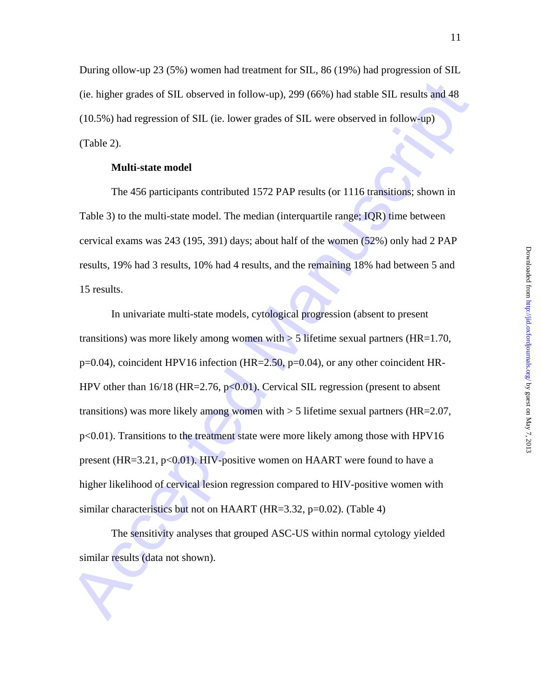During ollow-up 23 (5%) women had treatment for SIL, 86 (19%) had progression of SIL (ie. higher grades of SIL observed in follow-up), 299 (66%) had stable SIL results and 48 (10.5%) had regression of SIL (ie. lower grades of SIL were observed in follow-up) (Table 2).

#### **Multi-state model**

The 456 participants contributed 1572 PAP results (or 1116 transitions; shown in Table 3) to the multi-state model. The median (interquartile range; IQR) time between cervical exams was 243 (195, 391) days; about half of the women (52%) only had 2 PAP results, 19% had 3 results, 10% had 4 results, and the remaining 18% had between 5 and 15 results.

(ie. higher grades of SIL observed in follow-up), 299 (66%) had stable SIL results and 48<br>
(10.5%) had regression of SIL (ie. lower grades of SIL were observed in follow-up)<br>
(Table 2).<br> **Multi-state model**<br>
The 456 parti In univariate multi-state models, cytological progression (absent to present transitions) was more likely among women with  $> 5$  lifetime sexual partners (HR=1.70, p=0.04), coincident HPV16 infection (HR=2.50, p=0.04), or any other coincident HR-HPV other than  $16/18$  (HR=2.76, p<0.01). Cervical SIL regression (present to absent transitions) was more likely among women with  $>$  5 lifetime sexual partners (HR=2.07, p<0.01). Transitions to the treatment state were more likely among those with HPV16 present (HR=3.21,  $p<0.01$ ). HIV-positive women on HAART were found to have a higher likelihood of cervical lesion regression compared to HIV-positive women with similar characteristics but not on HAART (HR=3.32, p=0.02). (Table 4)

 The sensitivity analyses that grouped ASC-US within normal cytology yielded similar results (data not shown).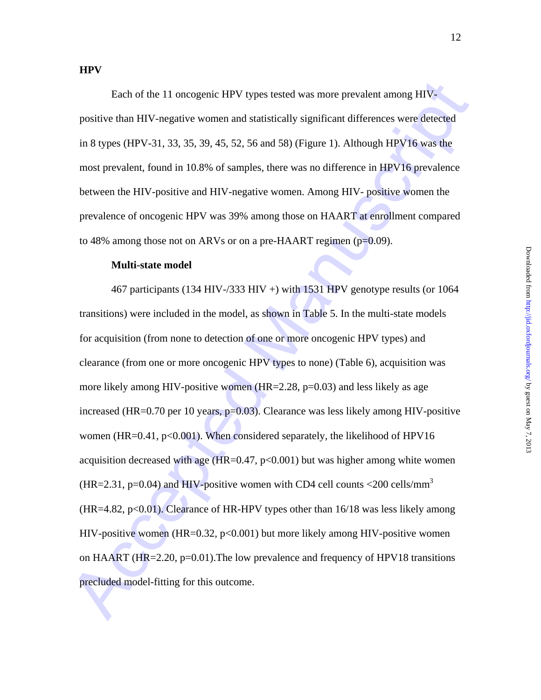Each of the 11 oncogenic HPV types tested was more prevalent among HIVpositive than HIV-negative women and statistically significant differences were detected in 8 types (HPV-31, 33, 35, 39, 45, 52, 56 and 58) (Figure 1). Although HPV16 was the most prevalent, found in 10.8% of samples, there was no difference in HPV16 prevalence between the HIV-positive and HIV-negative women. Among HIV- positive women the prevalence of oncogenic HPV was 39% among those on HAART at enrollment compared to 48% among those not on ARVs or on a pre-HAART regimen (p=0.09).

#### **Multi-state model**

Each of the 11 once<br>peric HPV types tested was more prevalent among HTV-<br>positive than HTV-negative women and statistically significant differences were detected<br>in 8 types (HPV-31, 33, 35, 39, 45, 52, 56 and 58) (Figure 467 participants (134 HIV-/333 HIV +) with 1531 HPV genotype results (or 1064 transitions) were included in the model, as shown in Table 5. In the multi-state models for acquisition (from none to detection of one or more oncogenic HPV types) and clearance (from one or more oncogenic HPV types to none) (Table 6), acquisition was more likely among HIV-positive women  $(HR=2.28, p=0.03)$  and less likely as age increased (HR=0.70 per 10 years, p=0.03). Clearance was less likely among HIV-positive women (HR=0.41,  $p<0.001$ ). When considered separately, the likelihood of HPV16 acquisition decreased with age ( $HR=0.47$ ,  $p<0.001$ ) but was higher among white women (HR=2.31, p=0.04) and HIV-positive women with CD4 cell counts <200 cells/mm<sup>3</sup>  $(HR=4.82, p<0.01)$ . Clearance of HR-HPV types other than 16/18 was less likely among HIV-positive women (HR=0.32, p<0.001) but more likely among HIV-positive women on HAART (HR=2.20,  $p=0.01$ ). The low prevalence and frequency of HPV18 transitions precluded model-fitting for this outcome.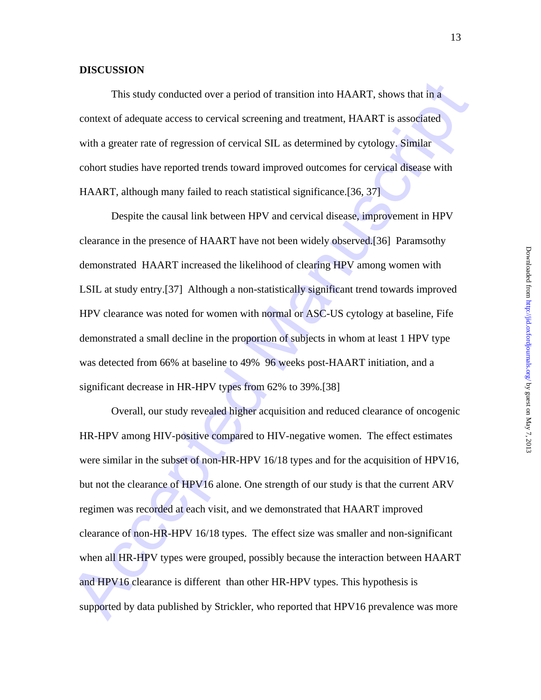#### **DISCUSSION**

 This study conducted over a period of transition into HAART, shows that in a context of adequate access to cervical screening and treatment, HAART is associated with a greater rate of regression of cervical SIL as determined by cytology. Similar cohort studies have reported trends toward improved outcomes for cervical disease with HAART, although many failed to reach statistical significance.[36, 37]

Despite the causal link between HPV and cervical disease, improvement in HPV clearance in the presence of HAART have not been widely observed.[36] Paramsothy demonstrated HAART increased the likelihood of clearing HPV among women with LSIL at study entry.[37] Although a non-statistically significant trend towards improved HPV clearance was noted for women with normal or ASC-US cytology at baseline, Fife demonstrated a small decline in the proportion of subjects in whom at least 1 HPV type was detected from 66% at baseline to 49% 96 weeks post-HAART initiation, and a significant decrease in HR-HPV types from 62% to 39%.[38]

This study conducted over a period of framsition into HAART, shows that in a<br>context of adequate access to cervical screening and treatment HAART is associated<br>with a greater rate of regression of cervical screening and t Overall, our study revealed higher acquisition and reduced clearance of oncogenic HR-HPV among HIV-positive compared to HIV-negative women. The effect estimates were similar in the subset of non-HR-HPV 16/18 types and for the acquisition of HPV16, but not the clearance of HPV16 alone. One strength of our study is that the current ARV regimen was recorded at each visit, and we demonstrated that HAART improved clearance of non-HR-HPV 16/18 types. The effect size was smaller and non-significant when all HR-HPV types were grouped, possibly because the interaction between HAART and HPV16 clearance is different than other HR-HPV types. This hypothesis is supported by data published by Strickler, who reported that HPV16 prevalence was more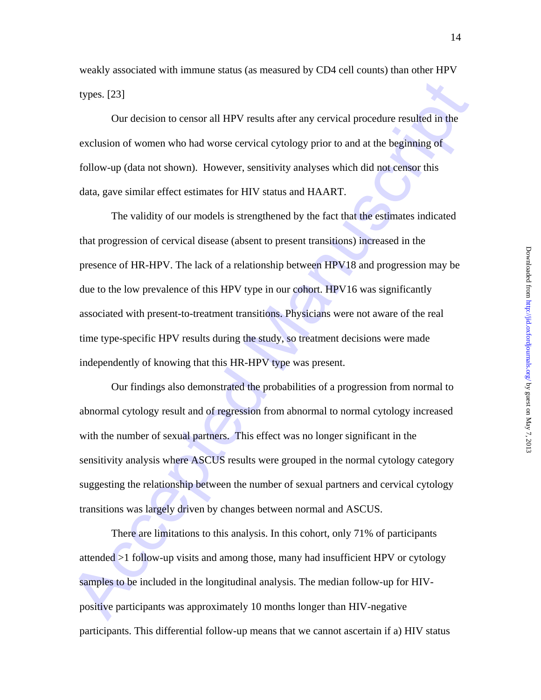weakly associated with immune status (as measured by CD4 cell counts) than other HPV types. [23]

Our decision to censor all HPV results after any cervical procedure resulted in the exclusion of women who had worse cervical cytology prior to and at the beginning of follow-up (data not shown). However, sensitivity analyses which did not censor this data, gave similar effect estimates for HIV status and HAART.

types. [23]<br>Our decision to censor all HPV results after any cervical procedure resulted in the<br>exclusion of women who had worse cervical cytology prior to and at the beginning of<br>follow-up (data not shown). However, sensi The validity of our models is strengthened by the fact that the estimates indicated that progression of cervical disease (absent to present transitions) increased in the presence of HR-HPV. The lack of a relationship between HPV18 and progression may be due to the low prevalence of this HPV type in our cohort. HPV16 was significantly associated with present-to-treatment transitions. Physicians were not aware of the real time type-specific HPV results during the study, so treatment decisions were made independently of knowing that this HR-HPV type was present.

Our findings also demonstrated the probabilities of a progression from normal to abnormal cytology result and of regression from abnormal to normal cytology increased with the number of sexual partners. This effect was no longer significant in the sensitivity analysis where ASCUS results were grouped in the normal cytology category suggesting the relationship between the number of sexual partners and cervical cytology transitions was largely driven by changes between normal and ASCUS.

There are limitations to this analysis. In this cohort, only 71% of participants attended >1 follow-up visits and among those, many had insufficient HPV or cytology samples to be included in the longitudinal analysis. The median follow-up for HIVpositive participants was approximately 10 months longer than HIV-negative participants. This differential follow-up means that we cannot ascertain if a) HIV status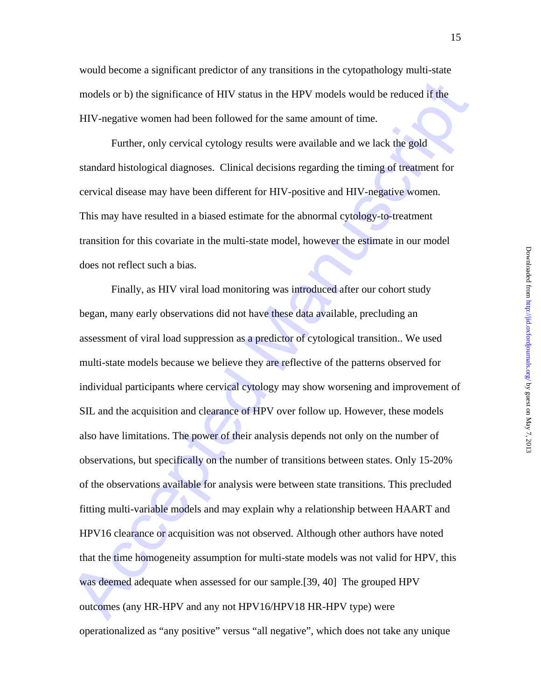would become a significant predictor of any transitions in the cytopathology multi-state models or b) the significance of HIV status in the HPV models would be reduced if the HIV-negative women had been followed for the same amount of time.

Further, only cervical cytology results were available and we lack the gold standard histological diagnoses. Clinical decisions regarding the timing of treatment for cervical disease may have been different for HIV-positive and HIV-negative women. This may have resulted in a biased estimate for the abnormal cytology-to-treatment transition for this covariate in the multi-state model, however the estimate in our model does not reflect such a bias.

models or b) the significance of HIV status in the HPV models would be reduced if the HIIV-negative women had been followed for the same amount of time.<br>
HIIV-negative women had been followed for the same amount of time.<br> Finally, as HIV viral load monitoring was introduced after our cohort study began, many early observations did not have these data available, precluding an assessment of viral load suppression as a predictor of cytological transition.. We used multi-state models because we believe they are reflective of the patterns observed for individual participants where cervical cytology may show worsening and improvement of SIL and the acquisition and clearance of HPV over follow up. However, these models also have limitations. The power of their analysis depends not only on the number of observations, but specifically on the number of transitions between states. Only 15-20% of the observations available for analysis were between state transitions. This precluded fitting multi-variable models and may explain why a relationship between HAART and HPV16 clearance or acquisition was not observed. Although other authors have noted that the time homogeneity assumption for multi-state models was not valid for HPV, this was deemed adequate when assessed for our sample.[39, 40] The grouped HPV outcomes (any HR-HPV and any not HPV16/HPV18 HR-HPV type) were operationalized as "any positive" versus "all negative", which does not take any unique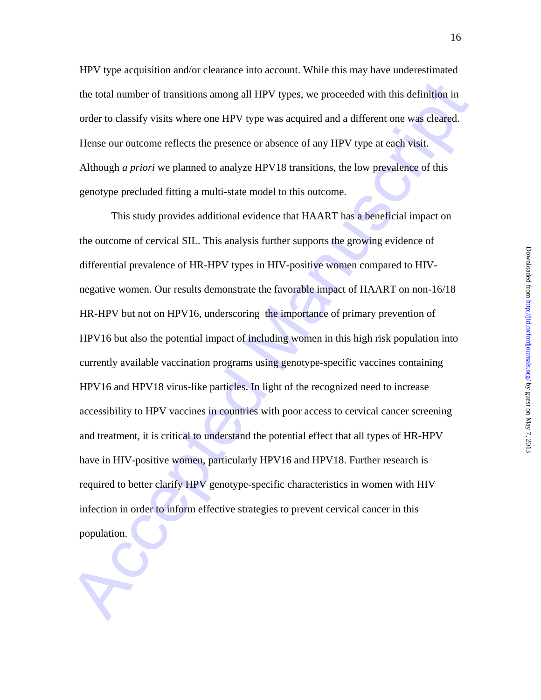Downloaded from http://jjd.oxfordjournals.org/ by guest on May 7, 2013 Downloaded from  $http://jid.oxfordoumals.org/ by guest on May 7, 2013$ 

HPV type acquisition and/or clearance into account. While this may have underestimated the total number of transitions among all HPV types, we proceeded with this definition in order to classify visits where one HPV type was acquired and a different one was cleared. Hense our outcome reflects the presence or absence of any HPV type at each visit. Although *a priori* we planned to analyze HPV18 transitions, the low prevalence of this genotype precluded fitting a multi-state model to this outcome.

the total number of transitions among all HPV types, we proceeded with this definition in<br>order to classify visits where one HPV type was acquired and a different one was cleared.<br>Hense our outcome reflects the presence or This study provides additional evidence that HAART has a beneficial impact on the outcome of cervical SIL. This analysis further supports the growing evidence of differential prevalence of HR-HPV types in HIV-positive women compared to HIVnegative women. Our results demonstrate the favorable impact of HAART on non-16/18 HR-HPV but not on HPV16, underscoring the importance of primary prevention of HPV16 but also the potential impact of including women in this high risk population into currently available vaccination programs using genotype-specific vaccines containing HPV16 and HPV18 virus-like particles. In light of the recognized need to increase accessibility to HPV vaccines in countries with poor access to cervical cancer screening and treatment, it is critical to understand the potential effect that all types of HR-HPV have in HIV-positive women, particularly HPV16 and HPV18. Further research is required to better clarify HPV genotype-specific characteristics in women with HIV infection in order to inform effective strategies to prevent cervical cancer in this population.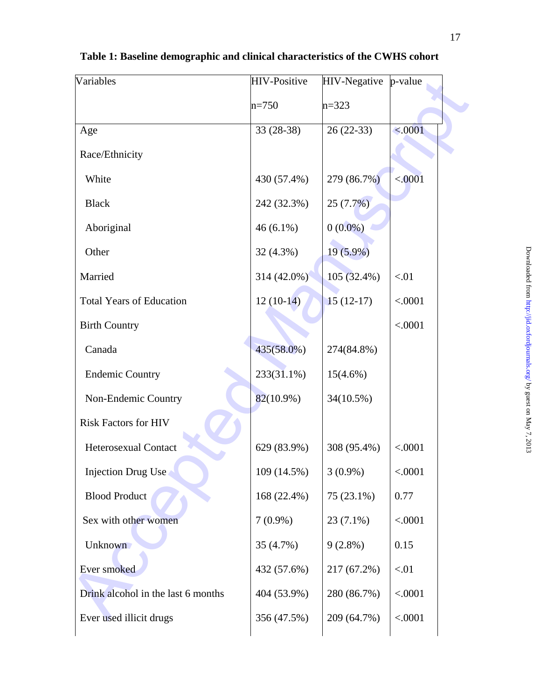| Variables                          | <b>HIV-Positive</b> | <b>HIV-Negative</b> | $p$ -value |
|------------------------------------|---------------------|---------------------|------------|
|                                    | $n = 750$           | $n=323$             |            |
| Age                                | 33 (28-38)          | $26(22-33)$         | < .0001    |
| Race/Ethnicity                     |                     |                     |            |
| White                              | 430 (57.4%)         | 279 (86.7%)         | < .0001    |
| <b>Black</b>                       | 242 (32.3%)         | 25(7.7%)            |            |
| Aboriginal                         | $46(6.1\%)$         | $0(0.0\%)$          |            |
| Other                              | 32 (4.3%)           | $19(5.9\%)$         |            |
| Married                            | 314 (42.0%)         | 105 (32.4%)         | < 01       |
| <b>Total Years of Education</b>    | $12(10-14)$         | $15(12-17)$         | < .0001    |
| <b>Birth Country</b>               |                     |                     | < .0001    |
| Canada                             | 435(58.0%)          | 274(84.8%)          |            |
| <b>Endemic Country</b>             | 233(31.1%)          | $15(4.6\%)$         |            |
| Non-Endemic Country                | $82(10.9\%)$        | 34(10.5%)           |            |
| <b>Risk Factors for HIV</b>        |                     |                     |            |
| <b>Heterosexual Contact</b>        | 629 (83.9%)         | 308 (95.4%)         | < .0001    |
| <b>Injection Drug Use</b>          | 109 (14.5%)         | $3(0.9\%)$          | < .0001    |
| <b>Blood Product</b>               | 168 (22.4%)         | 75 (23.1%)          | 0.77       |
| Sex with other women               | $7(0.9\%)$          | $23(7.1\%)$         | < .0001    |
| <b>Unknown</b>                     | 35 (4.7%)           | $9(2.8\%)$          | 0.15       |
| Ever smoked                        | 432 (57.6%)         | 217 (67.2%)         | < 01       |
| Drink alcohol in the last 6 months | 404 (53.9%)         | 280 (86.7%)         | < .0001    |
| Ever used illicit drugs            | 356 (47.5%)         | 209 (64.7%)         | < .0001    |
|                                    |                     |                     |            |

**Table 1: Baseline demographic and clinical characteristics of the CWHS cohort**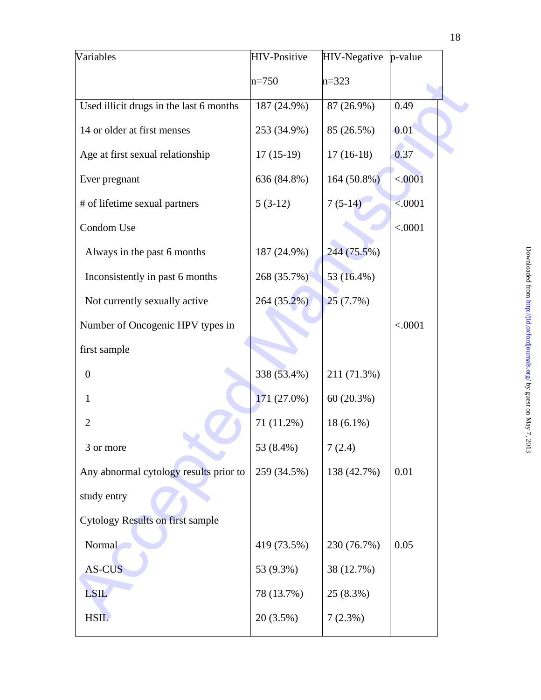| Variables                               | <b>HIV-Positive</b> | <b>HIV-Negative</b> | p-value |
|-----------------------------------------|---------------------|---------------------|---------|
|                                         | $n = 750$           | $n=323$             |         |
| Used illicit drugs in the last 6 months | 187 (24.9%)         | 87 (26.9%)          | 0.49    |
| 14 or older at first menses             | 253 (34.9%)         | 85 (26.5%)          | 0.01    |
| Age at first sexual relationship        | $17(15-19)$         | $17(16-18)$         | 0.37    |
| Ever pregnant                           | 636 (84.8%)         | $164(50.8\%)$       | < .0001 |
| # of lifetime sexual partners           | $5(3-12)$           | $7(5-14)$           | < .0001 |
| Condom Use                              |                     |                     | < .0001 |
| Always in the past 6 months             | 187 (24.9%)         | 244 (75.5%)         |         |
| Inconsistently in past 6 months         | 268 (35.7%)         | 53 (16.4%)          |         |
| Not currently sexually active           | 264 (35.2%)         | 25(7.7%)            |         |
| Number of Oncogenic HPV types in        |                     |                     | < .0001 |
| first sample                            |                     |                     |         |
| $\boldsymbol{0}$                        | 338 (53.4%)         | 211 (71.3%)         |         |
| 1                                       | 171 (27.0%)         | 60(20.3%)           |         |
| $\overline{2}$                          | 71 (11.2%)          | $18(6.1\%)$         |         |
| 3 or more                               | 53 (8.4%)           | 7(2.4)              |         |
| Any abnormal cytology results prior to  | 259 (34.5%)         | 138 (42.7%)         | 0.01    |
| study entry                             |                     |                     |         |
| <b>Cytology Results on first sample</b> |                     |                     |         |
| Normal                                  | 419 (73.5%)         | 230 (76.7%)         | 0.05    |
| AS-CUS                                  | 53 (9.3%)           | 38 (12.7%)          |         |
| LSIL                                    | 78 (13.7%)          | 25 (8.3%)           |         |
| <b>HSIL</b>                             | 20 (3.5%)           | 7(2.3%)             |         |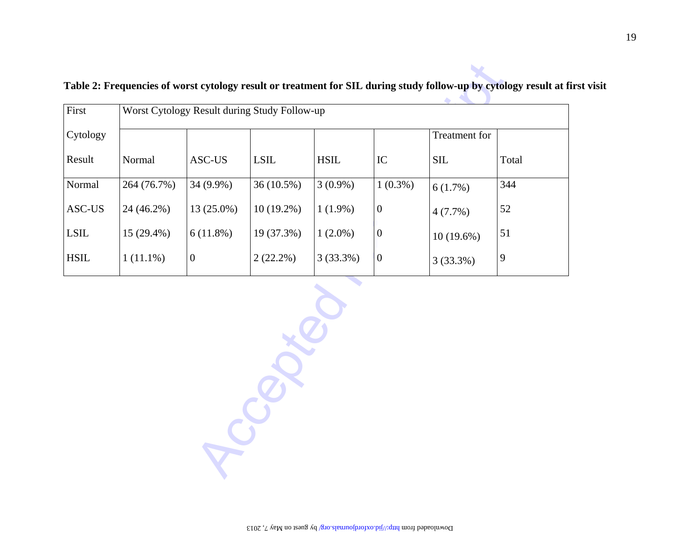| Cytology<br>Treatment for<br>Result<br>Normal<br>ASC-US<br><b>LSIL</b><br>$\operatorname{HSIL}$<br><b>SIL</b><br>IC<br>Total<br>Normal<br>264 (76.7%)<br>36(10.5%)<br>$1(0.3\%)$<br>344<br>34 (9.9%)<br>$3(0.9\%)$<br>6(1.7%)<br>52<br>ASC-US<br>24 (46.2%)<br>13 (25.0%)<br>$\mathbf{0}$<br>$10(19.2\%)$<br>$1(1.9\%)$<br>4(7.7%)<br>6(11.8%)<br>51<br>$15(29.4\%)$<br>19 (37.3%)<br>$\mathbf{0}$<br>$1(2.0\%)$<br>$10(19.6\%)$<br>$1(11.1\%)$<br>9<br>$\mathbf{0}$<br>$2(22.2\%)$<br>3(33.3%)<br>$\mathbf{0}$<br>3(33.3%) | $\operatorname{LSIL}$<br><b>HSIL</b> | First |  | Worst Cytology Result during Study Follow-up |  |  |
|-----------------------------------------------------------------------------------------------------------------------------------------------------------------------------------------------------------------------------------------------------------------------------------------------------------------------------------------------------------------------------------------------------------------------------------------------------------------------------------------------------------------------------|--------------------------------------|-------|--|----------------------------------------------|--|--|
|                                                                                                                                                                                                                                                                                                                                                                                                                                                                                                                             |                                      |       |  |                                              |  |  |
|                                                                                                                                                                                                                                                                                                                                                                                                                                                                                                                             |                                      |       |  |                                              |  |  |
|                                                                                                                                                                                                                                                                                                                                                                                                                                                                                                                             |                                      |       |  |                                              |  |  |
|                                                                                                                                                                                                                                                                                                                                                                                                                                                                                                                             |                                      |       |  |                                              |  |  |
|                                                                                                                                                                                                                                                                                                                                                                                                                                                                                                                             |                                      |       |  |                                              |  |  |
|                                                                                                                                                                                                                                                                                                                                                                                                                                                                                                                             |                                      |       |  |                                              |  |  |
|                                                                                                                                                                                                                                                                                                                                                                                                                                                                                                                             |                                      |       |  |                                              |  |  |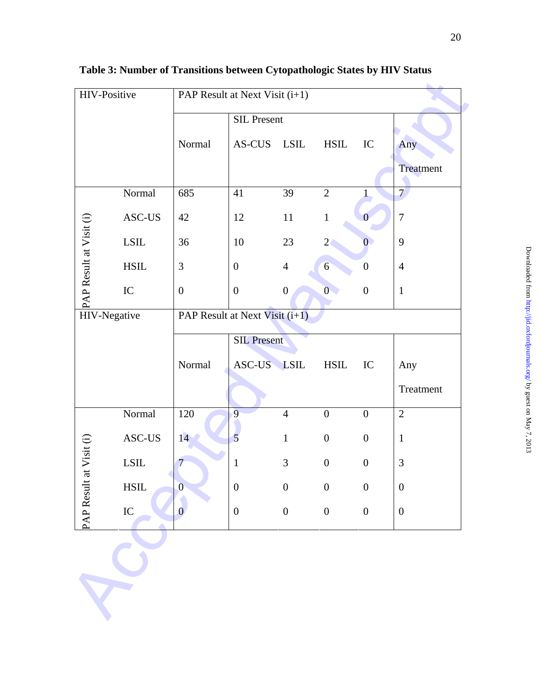| HIV-Positive            |                                                                           | PAP Result at Next Visit (i+1) |                    |                  |                  |                  |                  |
|-------------------------|---------------------------------------------------------------------------|--------------------------------|--------------------|------------------|------------------|------------------|------------------|
|                         |                                                                           |                                | <b>SIL Present</b> |                  |                  |                  |                  |
|                         |                                                                           | Normal                         | AS-CUS             | LSIL             | <b>HSIL</b>      | IC               | Any              |
|                         |                                                                           |                                |                    |                  |                  |                  | Treatment        |
|                         | Normal                                                                    | 685                            | 41                 | 39               | $\overline{2}$   | $\mathbf{1}$     | $\overline{7}$   |
|                         | $\operatorname{ASC-US}$                                                   | 42                             | 12                 | 11               | $\,1\,$          | $\mathbf{0}$     | $\boldsymbol{7}$ |
|                         | $\operatorname{LSIL}$                                                     | 36                             | 10                 | 23               | $\overline{2}$   | $\overline{0}$   | 9                |
|                         | <b>HSIL</b>                                                               | 3                              | $\boldsymbol{0}$   | $\overline{4}$   | $6\overline{6}$  | $\boldsymbol{0}$ | $\overline{4}$   |
|                         | (i)<br>$\angle$ ASC<br>LSIL<br>LSIL<br>LSIL<br>HSII<br>IC<br>HIV-Negative | $\boldsymbol{0}$               | $\boldsymbol{0}$   | $\boldsymbol{0}$ | $\overline{0}$   | $\boldsymbol{0}$ | $\mathbf{1}$     |
|                         |                                                                           | PAP Result at Next Visit (i+1) |                    |                  |                  |                  |                  |
|                         |                                                                           |                                | <b>SIL Present</b> |                  |                  |                  |                  |
|                         |                                                                           | Normal                         | ASC-US LSIL        |                  | <b>HSIL</b>      | IC               | Any              |
|                         |                                                                           |                                |                    |                  |                  |                  | Treatment        |
|                         | Normal                                                                    | 120                            | 9                  | $\overline{4}$   | $\boldsymbol{0}$ | $\boldsymbol{0}$ | $\overline{2}$   |
|                         | $\operatorname{ASC-US}$                                                   | 14                             | 5                  | $\mathbf{1}$     | $\boldsymbol{0}$ | $\boldsymbol{0}$ | $\mathbf{1}$     |
|                         | <b>LSIL</b>                                                               | $\overline{7}$                 | $\mathbf{1}$       | 3                | $\boldsymbol{0}$ | $\boldsymbol{0}$ | $\mathfrak{Z}$   |
|                         | $\operatorname{HSIL}$                                                     | $\overline{0}$                 | $\boldsymbol{0}$   | $\boldsymbol{0}$ | $\boldsymbol{0}$ | $\boldsymbol{0}$ | $\boldsymbol{0}$ |
| PAP Result at Visit (i) | IC                                                                        | $\mathbf{0}$                   | $\boldsymbol{0}$   | $\boldsymbol{0}$ | $\boldsymbol{0}$ | $\boldsymbol{0}$ | $\boldsymbol{0}$ |
|                         |                                                                           |                                |                    |                  |                  |                  |                  |
|                         |                                                                           |                                |                    |                  |                  |                  |                  |
|                         |                                                                           |                                |                    |                  |                  |                  |                  |
|                         |                                                                           |                                |                    |                  |                  |                  |                  |

**Table 3: Number of Transitions between Cytopathologic States by HIV Status**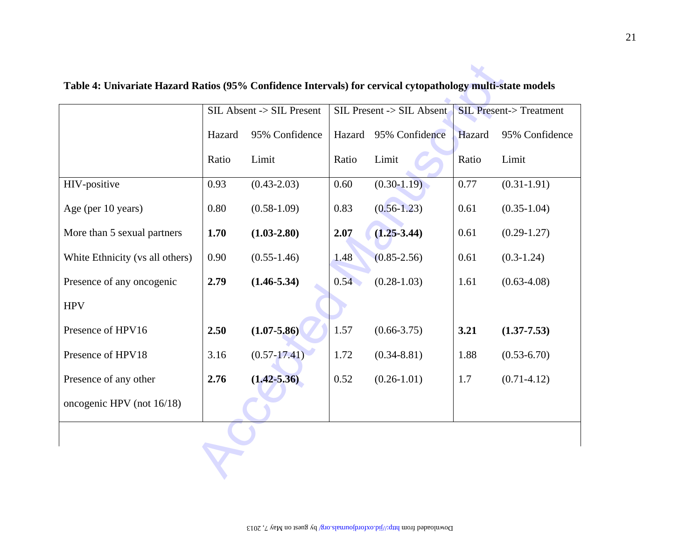|                                 |        | SIL Absent -> SIL Present |        | SIL Present -> SIL Absent | <b>SIL Present-&gt; Treatment</b> |                 |  |
|---------------------------------|--------|---------------------------|--------|---------------------------|-----------------------------------|-----------------|--|
|                                 | Hazard | 95% Confidence            | Hazard | 95% Confidence            | Hazard                            | 95% Confidence  |  |
|                                 | Ratio  | Limit                     | Ratio  | Limit                     | Ratio                             | Limit           |  |
| HIV-positive                    | 0.93   | $(0.43 - 2.03)$           | 0.60   | $(0.30 - 1.19)$           | 0.77                              | $(0.31 - 1.91)$ |  |
| Age (per 10 years)              | 0.80   | $(0.58 - 1.09)$           | 0.83   | $(0.56 - 1.23)$           | 0.61                              | $(0.35 - 1.04)$ |  |
| More than 5 sexual partners     | 1.70   | $(1.03 - 2.80)$           | 2.07   | $(1.25 - 3.44)$           | 0.61                              | $(0.29-1.27)$   |  |
| White Ethnicity (vs all others) | 0.90   | $(0.55 - 1.46)$           | 1.48   | $(0.85 - 2.56)$           | 0.61                              | $(0.3-1.24)$    |  |
| Presence of any oncogenic       | 2.79   | $(1.46 - 5.34)$           | 0.54   | $(0.28 - 1.03)$           | 1.61                              | $(0.63 - 4.08)$ |  |
| <b>HPV</b>                      |        |                           |        |                           |                                   |                 |  |
| Presence of HPV16               | 2.50   | $(1.07 - 5.86)$           | 1.57   | $(0.66 - 3.75)$           | 3.21                              | $(1.37 - 7.53)$ |  |
| Presence of HPV18               | 3.16   | $(0.57 - 17.41)$          | 1.72   | $(0.34 - 8.81)$           | 1.88                              | $(0.53 - 6.70)$ |  |
| Presence of any other           | 2.76   | $(1.42 - 5.36)$           | 0.52   | $(0.26 - 1.01)$           | 1.7                               | $(0.71 - 4.12)$ |  |
| oncogenic HPV (not 16/18)       |        |                           |        |                           |                                   |                 |  |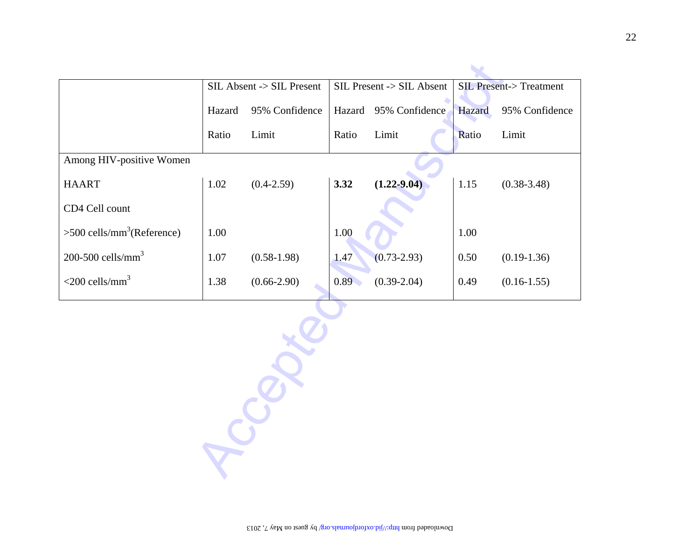|                                          |        | SIL Absent -> SIL Present |        | SIL Present -> SIL Absent |        | <b>SIL Present-&gt; Treatment</b> |
|------------------------------------------|--------|---------------------------|--------|---------------------------|--------|-----------------------------------|
|                                          | Hazard | 95% Confidence            | Hazard | 95% Confidence            | Hazard | 95% Confidence                    |
|                                          | Ratio  | Limit                     | Ratio  | Limit                     | Ratio  | Limit                             |
| Among HIV-positive Women                 |        |                           |        |                           |        |                                   |
| <b>HAART</b>                             | 1.02   | $(0.4 - 2.59)$            | 3.32   | $(1.22 - 9.04)$           | 1.15   | $(0.38 - 3.48)$                   |
| CD4 Cell count                           |        |                           |        |                           |        |                                   |
| $>500$ cells/mm <sup>3</sup> (Reference) | 1.00   |                           | 1.00   |                           | 1.00   |                                   |
| 200-500 cells/mm $3$                     | 1.07   | $(0.58 - 1.98)$           | 1.47   | $(0.73 - 2.93)$           | 0.50   | $(0.19-1.36)$                     |
| $<$ 200 cells/mm <sup>3</sup>            | 1.38   | $(0.66 - 2.90)$           | 0.89   | $(0.39 - 2.04)$           | 0.49   | $(0.16 - 1.55)$                   |
|                                          |        |                           |        |                           |        |                                   |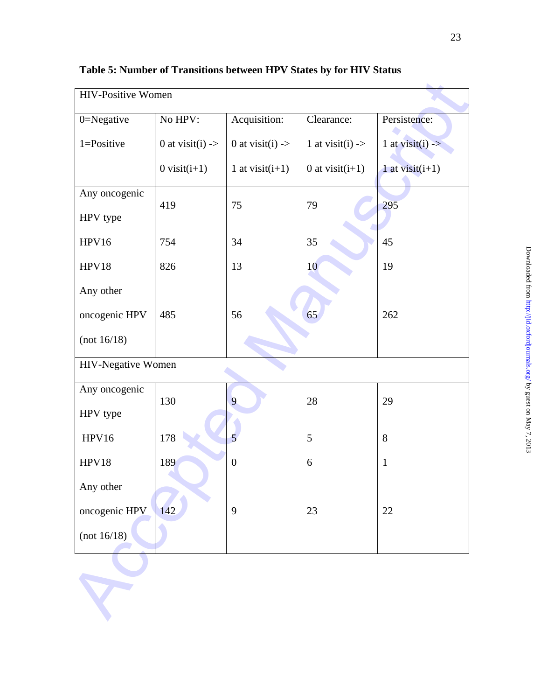| <b>HIV-Positive Women</b> |                             |                             |                             |                             |
|---------------------------|-----------------------------|-----------------------------|-----------------------------|-----------------------------|
| 0=Negative                | No HPV:                     | Acquisition:                | Clearance:                  | Persistence:                |
| $1 = Positive$            | 0 at visit(i) $\rightarrow$ | 0 at visit(i) $\rightarrow$ | 1 at visit(i) $\rightarrow$ | 1 at visit(i) $\rightarrow$ |
|                           | $0$ visit( $i+1$ )          | 1 at visit $(i+1)$          | 0 at visit $(i+1)$          | 1 at visit $(i+1)$          |
| Any oncogenic             | 419                         | 75                          | 79                          | 295                         |
| HPV type                  |                             |                             |                             |                             |
| HPV16                     | 754                         | 34                          | 35                          | 45                          |
| HPV18                     | 826                         | 13                          | 10                          | 19                          |
| Any other                 |                             |                             |                             |                             |
| oncogenic HPV             | 485                         | 56                          | 65                          | 262                         |
| (not 16/18)               |                             |                             |                             |                             |
| HIV-Negative Women        |                             |                             |                             |                             |
| Any oncogenic             | 130                         | 9                           | 28                          | 29                          |
| HPV type                  |                             |                             |                             |                             |
| HPV16                     | 178                         | 5                           | 5                           | 8                           |
| HPV18                     | 189                         | $\boldsymbol{0}$            | 6                           | 1                           |
| Any other                 |                             |                             |                             |                             |
| oncogenic HPV             | 142                         | 9                           | 23                          | 22                          |
| (not 16/18)               |                             |                             |                             |                             |
|                           |                             |                             |                             |                             |
|                           |                             |                             |                             |                             |
|                           |                             |                             |                             |                             |

**Table 5: Number of Transitions between HPV States by for HIV Status**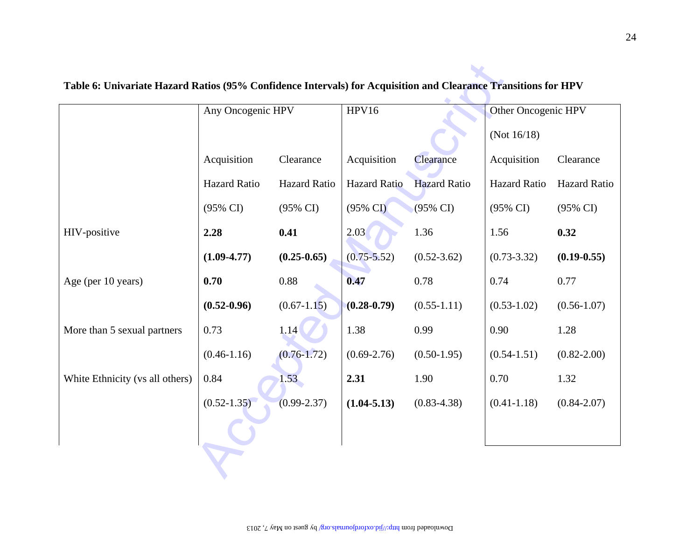| Acquisition         |                     |                     |                     |                     |                     |
|---------------------|---------------------|---------------------|---------------------|---------------------|---------------------|
|                     |                     |                     |                     | (Not $16/18$ )      |                     |
|                     | Clearance           | Acquisition         | Clearance           | Acquisition         | Clearance           |
| <b>Hazard Ratio</b> | Hazard Ratio        | <b>Hazard Ratio</b> | <b>Hazard Ratio</b> | <b>Hazard Ratio</b> | Hazard Ratio        |
| (95% CI)            | $(95\% \text{ CI})$ | $(95\% \text{ CI})$ | $(95\% \text{ CI})$ | $(95\% \text{ CI})$ | $(95\% \text{ CI})$ |
| 2.28                | 0.41                | 2.03                | 1.36                | 1.56                | 0.32                |
| $(1.09 - 4.77)$     | $(0.25 - 0.65)$     | $(0.75 - 5.52)$     | $(0.52 - 3.62)$     | $(0.73 - 3.32)$     | $(0.19 - 0.55)$     |
| 0.70                | 0.88                | 0.47                | 0.78                | 0.74                | 0.77                |
| $(0.52 - 0.96)$     | $(0.67 - 1.15)$     | $(0.28 - 0.79)$     | $(0.55-1.11)$       | $(0.53 - 1.02)$     | $(0.56 - 1.07)$     |
| 0.73                | 1.14                | 1.38                | 0.99                | 0.90                | 1.28                |
| $(0.46 - 1.16)$     | $(0.76 - 1.72)$     | $(0.69 - 2.76)$     | $(0.50-1.95)$       | $(0.54 - 1.51)$     | $(0.82 - 2.00)$     |
| 0.84                | 1.53                | 2.31                | 1.90                | 0.70                | 1.32                |
| $(0.52 - 1.35)$     | $(0.99 - 2.37)$     | $(1.04 - 5.13)$     | $(0.83 - 4.38)$     | $(0.41 - 1.18)$     | $(0.84 - 2.07)$     |
|                     |                     |                     |                     |                     |                     |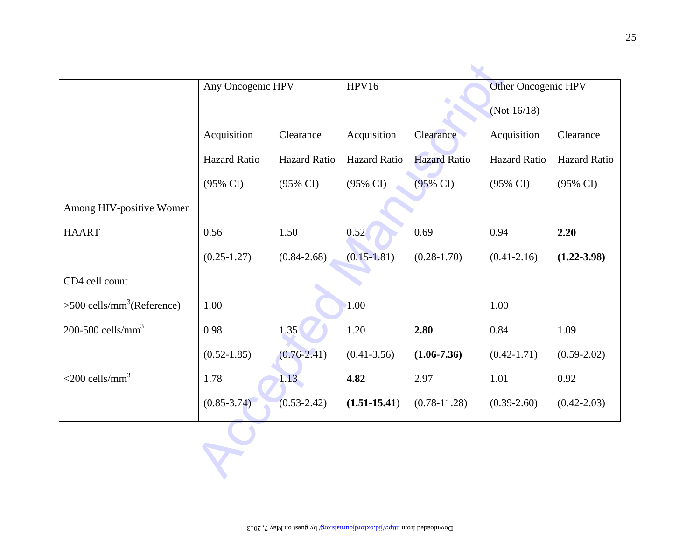|                                          | Any Oncogenic HPV   |                     | HPV16               |                     | Other Oncogenic HPV |                     |  |
|------------------------------------------|---------------------|---------------------|---------------------|---------------------|---------------------|---------------------|--|
|                                          |                     |                     |                     |                     | (Not 16/18)         |                     |  |
|                                          | Acquisition         | Clearance           | Acquisition         | Clearance           | Acquisition         | Clearance           |  |
|                                          | Hazard Ratio        | Hazard Ratio        | <b>Hazard Ratio</b> | <b>Hazard Ratio</b> | Hazard Ratio        | Hazard Ratio        |  |
|                                          | $(95\% \text{ CI})$ | $(95\% \text{ CI})$ | $(95\% \text{ CI})$ | $(95\% \text{ CI})$ | $(95\% \text{ CI})$ | $(95\% \text{ CI})$ |  |
| Among HIV-positive Women                 |                     |                     |                     |                     |                     |                     |  |
| <b>HAART</b>                             | 0.56                | 1.50                | 0.52                | 0.69                | 0.94                | 2.20                |  |
|                                          | $(0.25 - 1.27)$     | $(0.84 - 2.68)$     | $(0.15 - 1.81)$     | $(0.28 - 1.70)$     | $(0.41 - 2.16)$     | $(1.22 - 3.98)$     |  |
| CD4 cell count                           |                     |                     |                     |                     |                     |                     |  |
| $>500$ cells/mm <sup>3</sup> (Reference) | 1.00                |                     | 1.00                |                     | 1.00                |                     |  |
| 200-500 cells/mm <sup>3</sup>            | 0.98                | 1.35                | 1.20                | 2.80                | 0.84                | 1.09                |  |
|                                          | $(0.52 - 1.85)$     | $(0.76 - 2.41)$     | $(0.41 - 3.56)$     | $(1.06 - 7.36)$     | $(0.42 - 1.71)$     | $(0.59 - 2.02)$     |  |
| $<$ 200 cells/mm <sup>3</sup>            | 1.78                | 1.13                | 4.82                | 2.97                | 1.01                | 0.92                |  |
|                                          | $(0.85 - 3.74)$     | $(0.53 - 2.42)$     | $(1.51 - 15.41)$    | $(0.78 - 11.28)$    | $(0.39 - 2.60)$     | $(0.42 - 2.03)$     |  |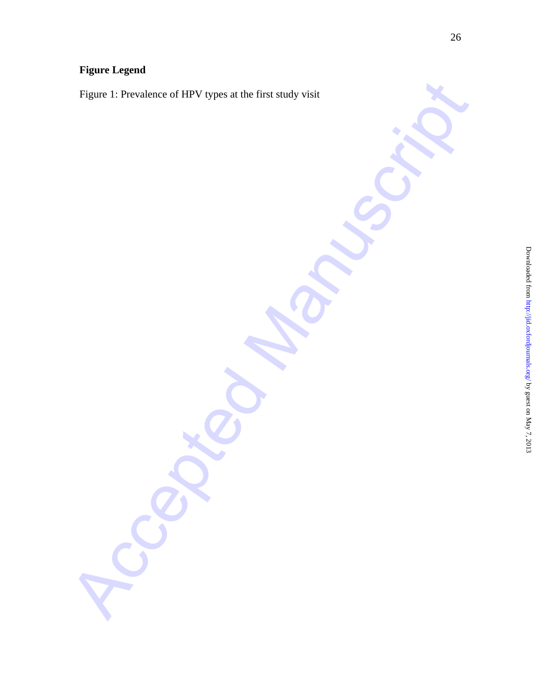# **Figure Legend**

Accepted Manuscript Figure 1: Prevalence of HPV types at the first study visit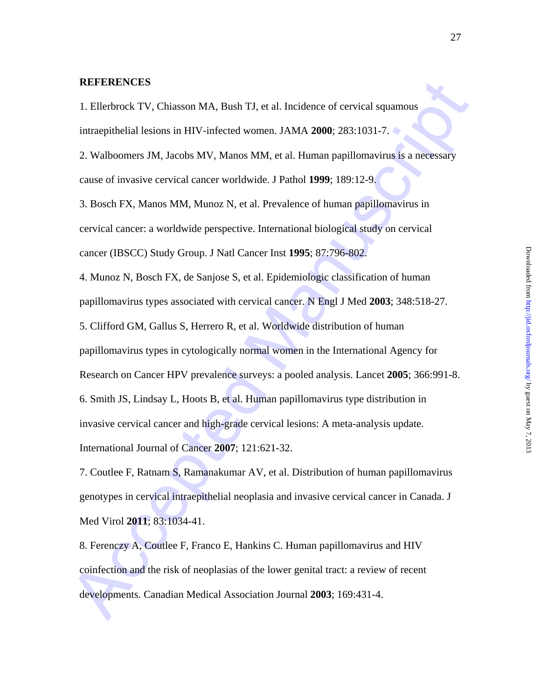#### **REFERENCES**

1. Ellerbrock TV, Chiasson MA, Bush TJ, et al. Incidence of cervical squamous intraepithelial lesions in HIV-infected women. JAMA **2000**; 283:1031-7.

2. Walboomers JM, Jacobs MV, Manos MM, et al. Human papillomavirus is a necessary cause of invasive cervical cancer worldwide. J Pathol **1999**; 189:12-9.

3. Bosch FX, Manos MM, Munoz N, et al. Prevalence of human papillomavirus in cervical cancer: a worldwide perspective. International biological study on cervical cancer (IBSCC) Study Group. J Natl Cancer Inst **1995**; 87:796-802.

REFERENCES<br>
1. Elletviock TV, Chiasson MA, Bush TJ, et al. Incidence of cervical squamons<br>
intraepithelial Issions in IIIV-infected women. JAMA 2000; 283:1031-7.<br>
2. Walboomers JM, Jacobs MV, Manos MM, et al. Human papillo 4. Munoz N, Bosch FX, de Sanjose S, et al. Epidemiologic classification of human papillomavirus types associated with cervical cancer. N Engl J Med **2003**; 348:518-27. 5. Clifford GM, Gallus S, Herrero R, et al. Worldwide distribution of human papillomavirus types in cytologically normal women in the International Agency for Research on Cancer HPV prevalence surveys: a pooled analysis. Lancet **2005**; 366:991-8. 6. Smith JS, Lindsay L, Hoots B, et al. Human papillomavirus type distribution in invasive cervical cancer and high-grade cervical lesions: A meta-analysis update. International Journal of Cancer **2007**; 121:621-32.

7. Coutlee F, Ratnam S, Ramanakumar AV, et al. Distribution of human papillomavirus genotypes in cervical intraepithelial neoplasia and invasive cervical cancer in Canada. J Med Virol **2011**; 83:1034-41.

8. Ferenczy A, Coutlee F, Franco E, Hankins C. Human papillomavirus and HIV coinfection and the risk of neoplasias of the lower genital tract: a review of recent developments. Canadian Medical Association Journal **2003**; 169:431-4.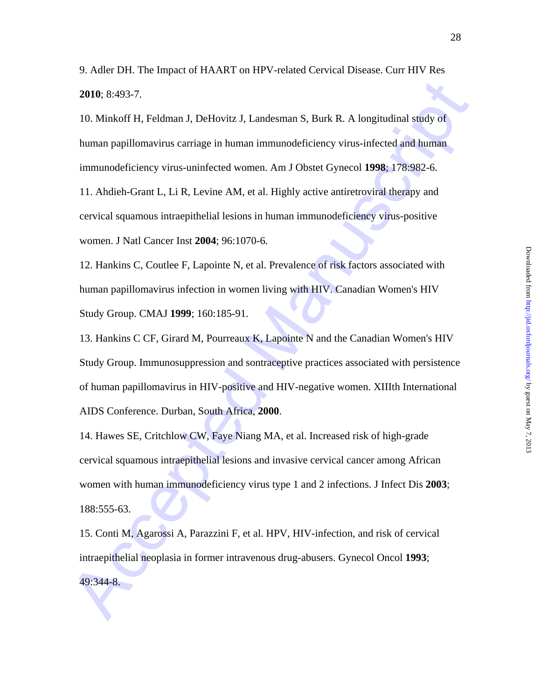9. Adler DH. The Impact of HAART on HPV-related Cervical Disease. Curr HIV Res **2010**; 8:493-7.

10. Minkoff H, Feldman J, DeHovitz J, Landesman S, Burk R. A longitudinal study of human papillomavirus carriage in human immunodeficiency virus-infected and human immunodeficiency virus-uninfected women. Am J Obstet Gynecol **1998**; 178:982-6.

11. Ahdieh-Grant L, Li R, Levine AM, et al. Highly active antiretroviral therapy and cervical squamous intraepithelial lesions in human immunodeficiency virus-positive women. J Natl Cancer Inst **2004**; 96:1070-6.

12. Hankins C, Coutlee F, Lapointe N, et al. Prevalence of risk factors associated with human papillomavirus infection in women living with HIV. Canadian Women's HIV Study Group. CMAJ **1999**; 160:185-91.

2010; 8:493-7.<br>
10. Minkoff II, Feldman J, Deflovitz J, Landesman S, Burk R. A longitudinal study of<br>
10. Minkoff II, Feldman J, Deflovitz J, Landesman S, Burk R. A longitudinal study of<br>
11. Ahdieh-Grant L, Li R, Levine A 13. Hankins C CF, Girard M, Pourreaux K, Lapointe N and the Canadian Women's HIV Study Group. Immunosuppression and sontraceptive practices associated with persistence of human papillomavirus in HIV-positive and HIV-negative women. XIIIth International AIDS Conference. Durban, South Africa, **2000**.

14. Hawes SE, Critchlow CW, Faye Niang MA, et al. Increased risk of high-grade cervical squamous intraepithelial lesions and invasive cervical cancer among African women with human immunodeficiency virus type 1 and 2 infections. J Infect Dis **2003**; 188:555-63.

15. Conti M, Agarossi A, Parazzini F, et al. HPV, HIV-infection, and risk of cervical intraepithelial neoplasia in former intravenous drug-abusers. Gynecol Oncol **1993**; 49:344-8.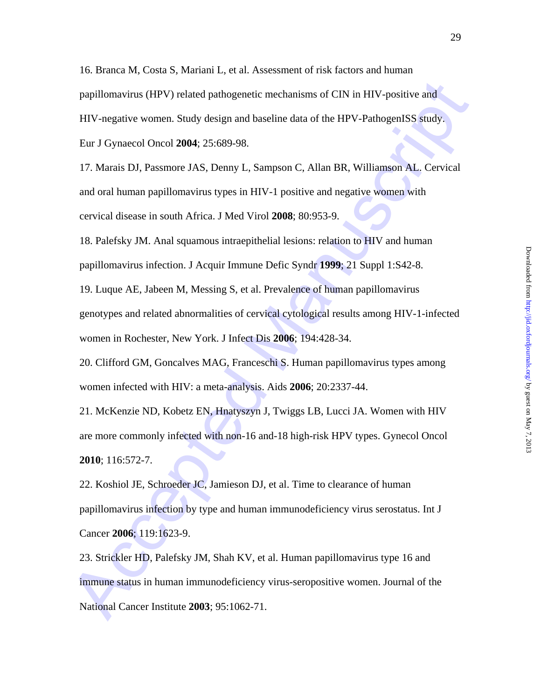papillomavirus (HPV) related pathogenetic mechanisms of CIN in HTV-positive and<br>IIIV-negative women. Study design and baseline data of the HPV-PathogenISS study.<br>Eur J Gymecol Oneol 2004; 25:689-98.<br>
17. Marnis DJ, Passmor 16. Branca M, Costa S, Mariani L, et al. Assessment of risk factors and human papillomavirus (HPV) related pathogenetic mechanisms of CIN in HIV-positive and HIV-negative women. Study design and baseline data of the HPV-PathogenISS study. Eur J Gynaecol Oncol **2004**; 25:689-98.

17. Marais DJ, Passmore JAS, Denny L, Sampson C, Allan BR, Williamson AL. Cervical and oral human papillomavirus types in HIV-1 positive and negative women with cervical disease in south Africa. J Med Virol **2008**; 80:953-9.

18. Palefsky JM. Anal squamous intraepithelial lesions: relation to HIV and human papillomavirus infection. J Acquir Immune Defic Syndr **1999**; 21 Suppl 1:S42-8.

19. Luque AE, Jabeen M, Messing S, et al. Prevalence of human papillomavirus

genotypes and related abnormalities of cervical cytological results among HIV-1-infected women in Rochester, New York. J Infect Dis **2006**; 194:428-34.

20. Clifford GM, Goncalves MAG, Franceschi S. Human papillomavirus types among women infected with HIV: a meta-analysis. Aids **2006**; 20:2337-44.

21. McKenzie ND, Kobetz EN, Hnatyszyn J, Twiggs LB, Lucci JA. Women with HIV are more commonly infected with non-16 and-18 high-risk HPV types. Gynecol Oncol **2010**; 116:572-7.

22. Koshiol JE, Schroeder JC, Jamieson DJ, et al. Time to clearance of human papillomavirus infection by type and human immunodeficiency virus serostatus. Int J Cancer **2006**; 119:1623-9.

23. Strickler HD, Palefsky JM, Shah KV, et al. Human papillomavirus type 16 and immune status in human immunodeficiency virus-seropositive women. Journal of the National Cancer Institute **2003**; 95:1062-71.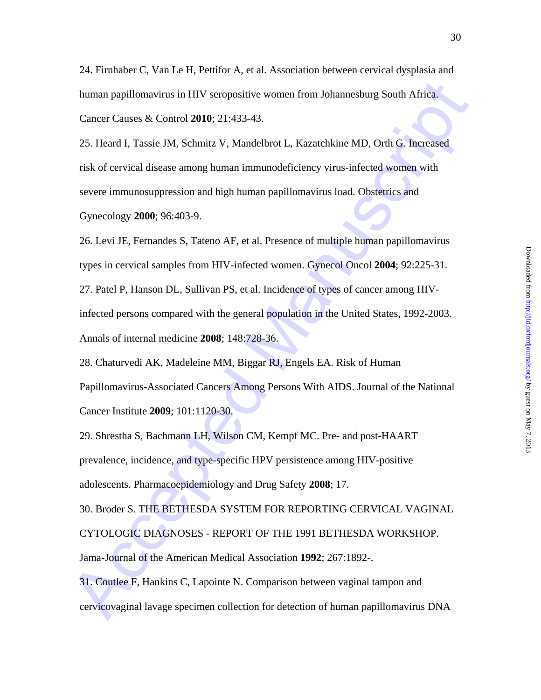24. Firnhaber C, Van Le H, Pettifor A, et al. Association between cervical dysplasia and human papillomavirus in HIV seropositive women from Johannesburg South Africa. Cancer Causes & Control **2010**; 21:433-43.

25. Heard I, Tassie JM, Schmitz V, Mandelbrot L, Kazatchkine MD, Orth G. Increased risk of cervical disease among human immunodeficiency virus-infected women with severe immunosuppression and high human papillomavirus load. Obstetrics and Gynecology **2000**; 96:403-9.

human papillomavirus in HIV seropositive women from Johannesburg South Africa.<br>Cancer Causes & Control 2010; 21:433-43.<br>25. Heard I, Tassie JM, Schmitz V, Mandelbrot L, Kazatehkine MD, Orth G, Increased<br>risk of cervical di 26. Levi JE, Fernandes S, Tateno AF, et al. Presence of multiple human papillomavirus types in cervical samples from HIV-infected women. Gynecol Oncol **2004**; 92:225-31. 27. Patel P, Hanson DL, Sullivan PS, et al. Incidence of types of cancer among HIVinfected persons compared with the general population in the United States, 1992-2003.

Annals of internal medicine **2008**; 148:728-36.

28. Chaturvedi AK, Madeleine MM, Biggar RJ, Engels EA. Risk of Human Papillomavirus-Associated Cancers Among Persons With AIDS. Journal of the National Cancer Institute **2009**; 101:1120-30.

29. Shrestha S, Bachmann LH, Wilson CM, Kempf MC. Pre- and post-HAART prevalence, incidence, and type-specific HPV persistence among HIV-positive adolescents. Pharmacoepidemiology and Drug Safety **2008**; 17.

30. Broder S. THE BETHESDA SYSTEM FOR REPORTING CERVICAL VAGINAL CYTOLOGIC DIAGNOSES - REPORT OF THE 1991 BETHESDA WORKSHOP. Jama-Journal of the American Medical Association **1992**; 267:1892-.

31. Coutlee F, Hankins C, Lapointe N. Comparison between vaginal tampon and cervicovaginal lavage specimen collection for detection of human papillomavirus DNA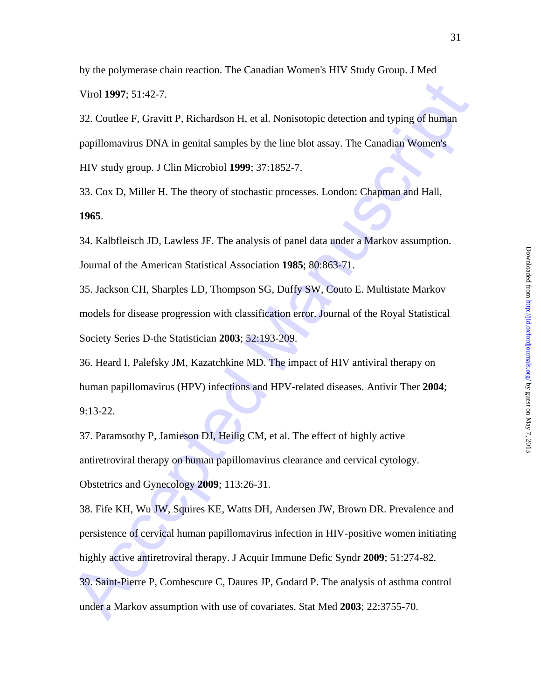by the polymerase chain reaction. The Canadian Women's HIV Study Group. J Med

Virol **1997**; 51:42-7.

32. Coutlee F, Gravitt P, Richardson H, et al. Nonisotopic detection and typing of human papillomavirus DNA in genital samples by the line blot assay. The Canadian Women's HIV study group. J Clin Microbiol **1999**; 37:1852-7.

33. Cox D, Miller H. The theory of stochastic processes. London: Chapman and Hall, **1965**.

34. Kalbfleisch JD, Lawless JF. The analysis of panel data under a Markov assumption. Journal of the American Statistical Association **1985**; 80:863-71.

35. Jackson CH, Sharples LD, Thompson SG, Duffy SW, Couto E. Multistate Markov models for disease progression with classification error. Journal of the Royal Statistical Society Series D-the Statistician **2003**; 52:193-209.

36. Heard I, Palefsky JM, Kazatchkine MD. The impact of HIV antiviral therapy on human papillomavirus (HPV) infections and HPV-related diseases. Antivir Ther **2004**; 9:13-22.

37. Paramsothy P, Jamieson DJ, Heilig CM, et al. The effect of highly active antiretroviral therapy on human papillomavirus clearance and cervical cytology. Obstetrics and Gynecology **2009**; 113:26-31.

Virol 1997; 51:42-7.<br>
32. Coulte F, Graviti P. Richardson II, et al. Nonisotopic detection and typing of human<br>
papillomavirus DNA in geniral samples by the line blot assay. The Canadian Women's<br>
HIV study group, J Clin Mi 38. Fife KH, Wu JW, Squires KE, Watts DH, Andersen JW, Brown DR. Prevalence and persistence of cervical human papillomavirus infection in HIV-positive women initiating highly active antiretroviral therapy. J Acquir Immune Defic Syndr **2009**; 51:274-82. 39. Saint-Pierre P, Combescure C, Daures JP, Godard P. The analysis of asthma control under a Markov assumption with use of covariates. Stat Med **2003**; 22:3755-70.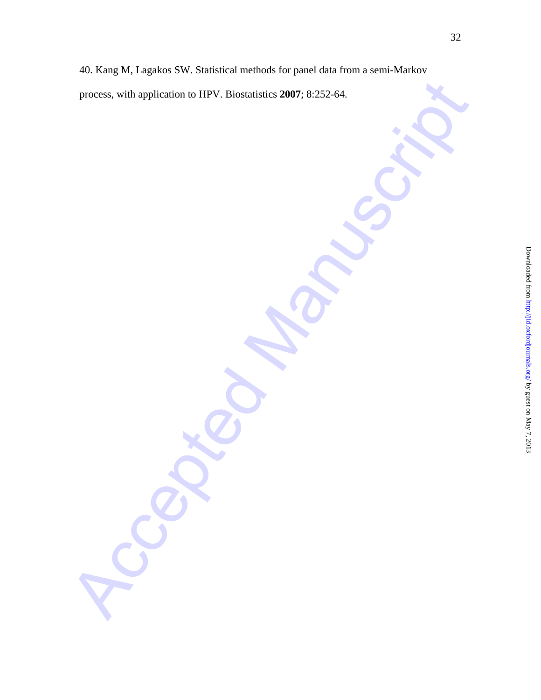Accepted Manuscript 40. Kang M, Lagakos SW. Statistical methods for panel data from a semi-Markov process, with application to HPV. Biostatistics **2007**; 8:252-64.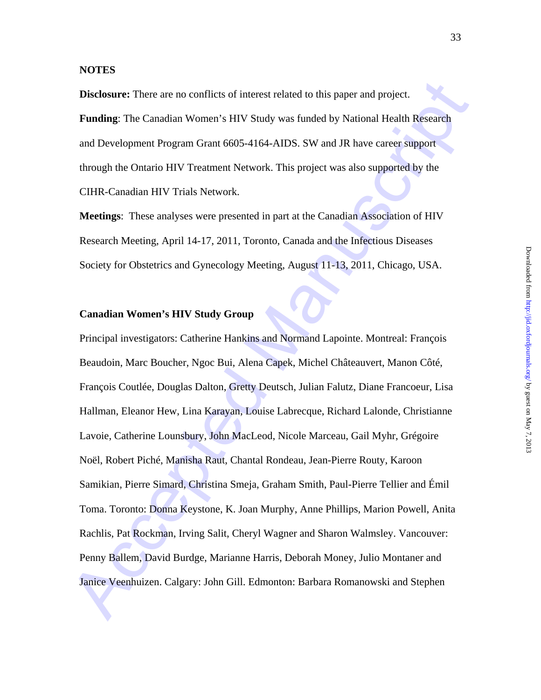#### **NOTES**

**Disclosure:** There are no conflicts of interest related to this paper and project. **Funding**: The Canadian Women's HIV Study was funded by National Health Research and Development Program Grant 6605-4164-AIDS. SW and JR have career support through the Ontario HIV Treatment Network. This project was also supported by the CIHR-Canadian HIV Trials Network.

**Meetings**: These analyses were presented in part at the Canadian Association of HIV Research Meeting, April 14-17, 2011, Toronto, Canada and the Infectious Diseases Society for Obstetrics and Gynecology Meeting, August 11-13, 2011, Chicago, USA.

### **Canadian Women's HIV Study Group**

Disclosure: There are no conflicts of interest related to this paper and project.<br> **Funding:** The Canadian Women's HIV Study was funded by National Health Research<br>
and Development Program Grant 6605-4164-AIDS. SW and JR h Principal investigators: Catherine Hankins and Normand Lapointe. Montreal: François Beaudoin, Marc Boucher, Ngoc Bui, Alena Capek, Michel Châteauvert, Manon Côté, François Coutlée, Douglas Dalton, Gretty Deutsch, Julian Falutz, Diane Francoeur, Lisa Hallman, Eleanor Hew, Lina Karayan, Louise Labrecque, Richard Lalonde, Christianne Lavoie, Catherine Lounsbury, John MacLeod, Nicole Marceau, Gail Myhr, Grégoire Noël, Robert Piché, Manisha Raut, Chantal Rondeau, Jean-Pierre Routy, Karoon Samikian, Pierre Simard, Christina Smeja, Graham Smith, Paul-Pierre Tellier and Émil Toma. Toronto: Donna Keystone, K. Joan Murphy, Anne Phillips, Marion Powell, Anita Rachlis, Pat Rockman, Irving Salit, Cheryl Wagner and Sharon Walmsley. Vancouver: Penny Ballem, David Burdge, Marianne Harris, Deborah Money, Julio Montaner and Janice Veenhuizen. Calgary: John Gill. Edmonton: Barbara Romanowski and Stephen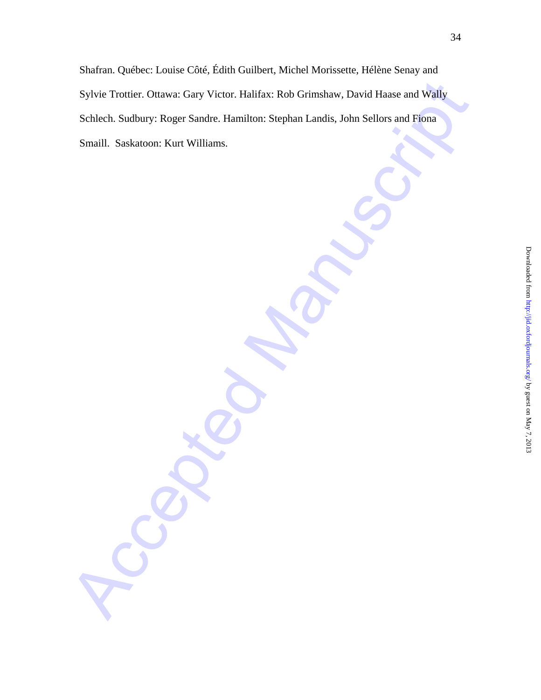Sylvie Trottier. Ottawar: Gary Victor. Halifax: Rob Grimshaw, David Hause and Wally<br>Schlech. Sudbury: Roger Sandre. Hamilton: Stephan Landis, John Sellors and Tiona<br>Smaill. Saskatoon: Kurt Williams.<br>And Controlled Manuscri Shafran. Québec: Louise Côté, Édith Guilbert, Michel Morissette, Hélène Senay and Sylvie Trottier. Ottawa: Gary Victor. Halifax: Rob Grimshaw, David Haase and Wally Schlech. Sudbury: Roger Sandre. Hamilton: Stephan Landis, John Sellors and Fiona Smaill. Saskatoon: Kurt Williams.